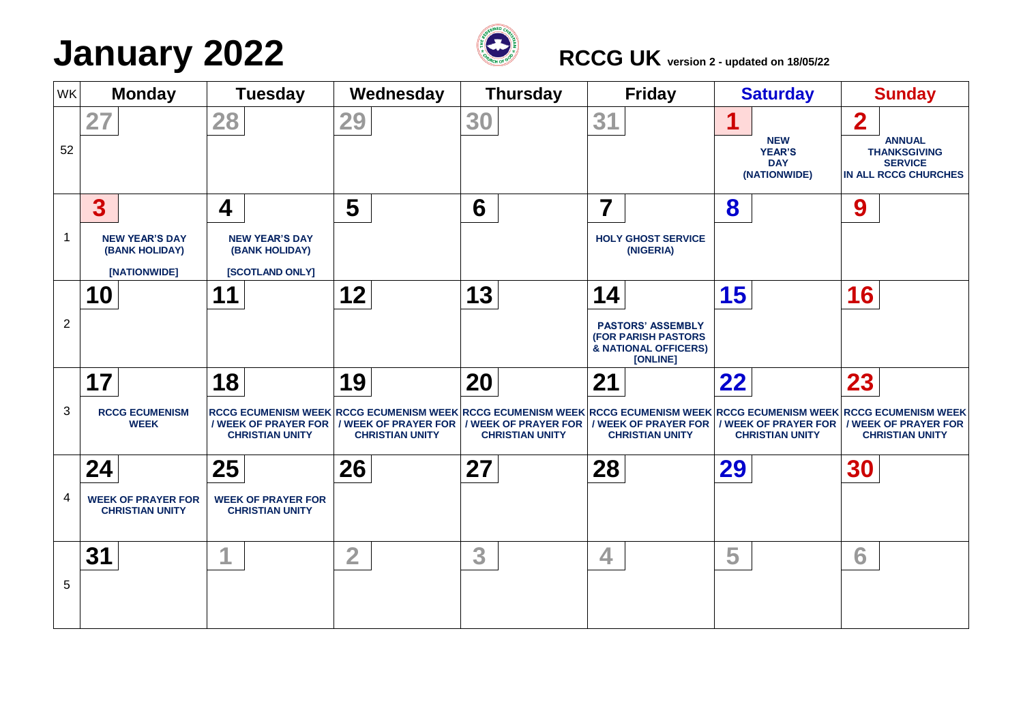## **January** 2022 *RCCG UK version 2* **- updated on 18/05/22**



| WK             | <b>Monday</b>                                                      | <b>Tuesday</b>                                                              | Wednesday                    | <b>Thursday</b>              | <b>Friday</b>                                                                                    | <b>Saturday</b>                                                | <b>Sunday</b>                                                                                                                                                                   |
|----------------|--------------------------------------------------------------------|-----------------------------------------------------------------------------|------------------------------|------------------------------|--------------------------------------------------------------------------------------------------|----------------------------------------------------------------|---------------------------------------------------------------------------------------------------------------------------------------------------------------------------------|
| 52             | 27                                                                 | 28                                                                          | 29                           | 30                           | 31                                                                                               | 1<br><b>NEW</b><br><b>YEAR'S</b><br><b>DAY</b><br>(NATIONWIDE) | $\overline{\mathbf{2}}$<br><b>ANNUAL</b><br><b>THANKSGIVING</b><br><b>SERVICE</b><br><b>IN ALL RCCG CHURCHES</b>                                                                |
|                | $\overline{\mathbf{3}}$<br><b>NEW YEAR'S DAY</b><br>(BANK HOLIDAY) | 4<br><b>NEW YEAR'S DAY</b><br>(BANK HOLIDAY)                                | 5                            | 6                            | 7<br><b>HOLY GHOST SERVICE</b><br>(NIGERIA)                                                      | 8                                                              | 9                                                                                                                                                                               |
| $\overline{2}$ | [NATIONWIDE]<br>10                                                 | [SCOTLAND ONLY]<br>11                                                       | 12                           | 13                           | 14<br><b>PASTORS' ASSEMBLY</b><br><b>(FOR PARISH PASTORS</b><br>& NATIONAL OFFICERS)<br>[ONLINE] | 15                                                             | 16                                                                                                                                                                              |
| 3              | 17<br><b>RCCG ECUMENISM</b><br><b>WEEK</b>                         | 18<br>/ WEEK OF PRAYER FOR   / WEEK OF PRAYER FOR<br><b>CHRISTIAN UNITY</b> | 19<br><b>CHRISTIAN UNITY</b> | 20<br><b>CHRISTIAN UNITY</b> | 21<br>/ WEEK OF PRAYER FOR   / WEEK OF PRAYER FOR<br><b>CHRISTIAN UNITY</b>                      | 22<br>/ WEEK OF PRAYER FOR<br><b>CHRISTIAN UNITY</b>           | 23<br>RCCG ECUMENISM WEEK RCCG ECUMENISM WEEK RCCG ECUMENISM WEEK RCCG ECUMENISM WEEK RCCG ECUMENISM WEEK RCCG ECUMENISM WEEK<br>/ WEEK OF PRAYER FOR<br><b>CHRISTIAN UNITY</b> |
| 4              | 24<br><b>WEEK OF PRAYER FOR</b><br><b>CHRISTIAN UNITY</b>          | 25<br><b>WEEK OF PRAYER FOR</b><br><b>CHRISTIAN UNITY</b>                   | 26                           | 27                           | 28                                                                                               | 29                                                             | 30                                                                                                                                                                              |
| 5              | 31                                                                 |                                                                             | $\overline{2}$               | 3                            | 4                                                                                                | 5                                                              | 6                                                                                                                                                                               |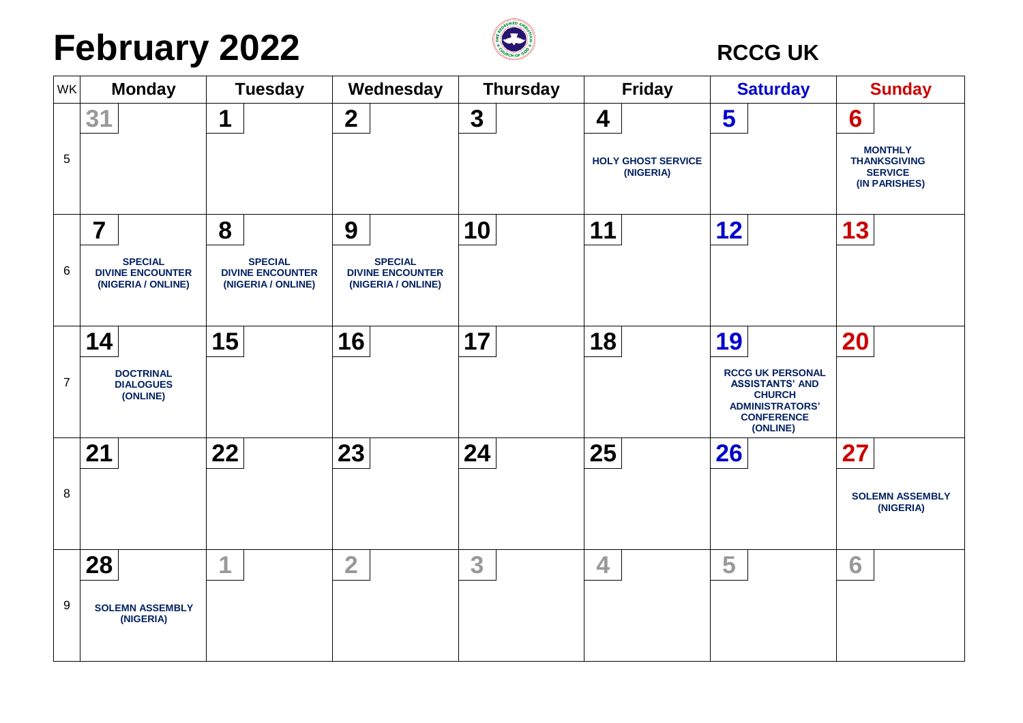## **February** 2022 **CONSIDENS**



| <b>WK</b>      | <b>Monday</b>                                                   | <b>Tuesday</b>                                                  | Wednesday                                                       | <b>Thursday</b> | <b>Friday</b>                          | <b>Saturday</b>                                                                                                               | <b>Sunday</b>                                                            |
|----------------|-----------------------------------------------------------------|-----------------------------------------------------------------|-----------------------------------------------------------------|-----------------|----------------------------------------|-------------------------------------------------------------------------------------------------------------------------------|--------------------------------------------------------------------------|
|                | 31                                                              | 1                                                               | $\boldsymbol{2}$                                                | $\mathbf{3}$    | 4                                      | 5                                                                                                                             | 6                                                                        |
| $\sqrt{5}$     |                                                                 |                                                                 |                                                                 |                 | <b>HOLY GHOST SERVICE</b><br>(NIGERIA) |                                                                                                                               | <b>MONTHLY</b><br><b>THANKSGIVING</b><br><b>SERVICE</b><br>(IN PARISHES) |
|                | $\overline{7}$                                                  | 8                                                               | 9                                                               | 10              | 11                                     | 12                                                                                                                            | 13                                                                       |
| $\,6\,$        | <b>SPECIAL</b><br><b>DIVINE ENCOUNTER</b><br>(NIGERIA / ONLINE) | <b>SPECIAL</b><br><b>DIVINE ENCOUNTER</b><br>(NIGERIA / ONLINE) | <b>SPECIAL</b><br><b>DIVINE ENCOUNTER</b><br>(NIGERIA / ONLINE) |                 |                                        |                                                                                                                               |                                                                          |
|                | 14                                                              | 15                                                              | 16                                                              | 17              | 18                                     | 19                                                                                                                            | 20                                                                       |
| $\overline{7}$ | <b>DOCTRINAL</b><br><b>DIALOGUES</b><br>(ONLINE)                |                                                                 |                                                                 |                 |                                        | <b>RCCG UK PERSONAL</b><br><b>ASSISTANTS' AND</b><br><b>CHURCH</b><br><b>ADMINISTRATORS'</b><br><b>CONFERENCE</b><br>(ONLINE) |                                                                          |
|                | 21                                                              | 22                                                              | 23                                                              | 24              | 25                                     | 26                                                                                                                            | 27                                                                       |
| 8              |                                                                 |                                                                 |                                                                 |                 |                                        |                                                                                                                               | <b>SOLEMN ASSEMBLY</b><br>(NIGERIA)                                      |
|                | 28                                                              | 1                                                               | $\overline{2}$                                                  | 3               | 4                                      | 5                                                                                                                             | 6                                                                        |
| 9              | <b>SOLEMN ASSEMBLY</b><br>(NIGERIA)                             |                                                                 |                                                                 |                 |                                        |                                                                                                                               |                                                                          |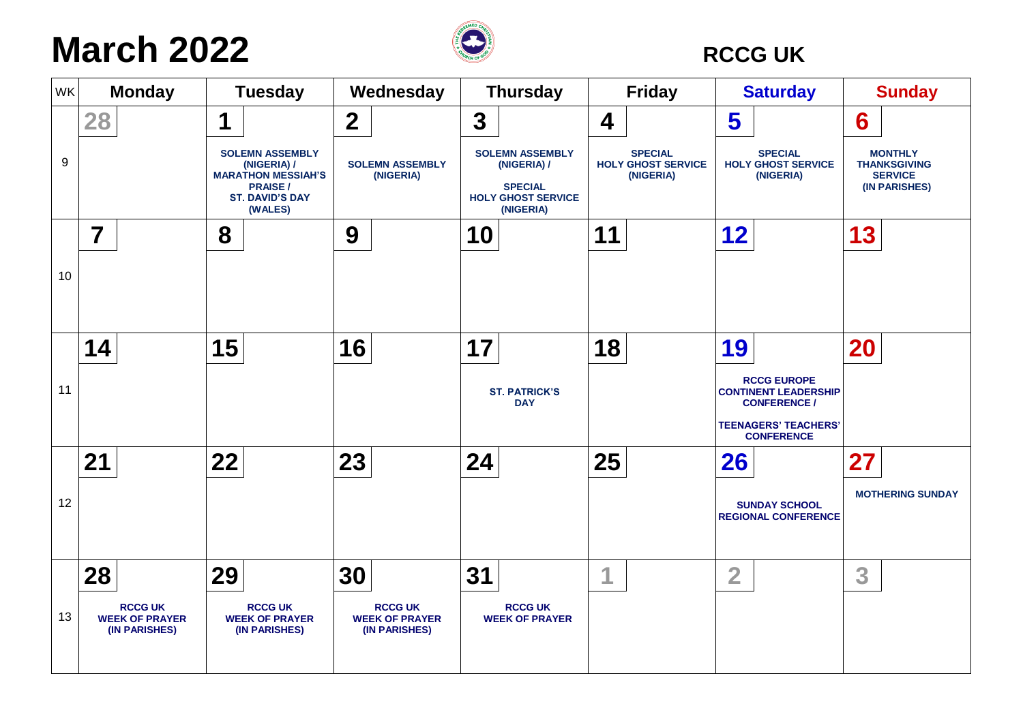### **March** 2022 *C* RCCG UK



| WK | <b>Monday</b>                                            | <b>Tuesday</b>                                                                                                            | Wednesday                                                | <b>Thursday</b>                                                                                   | <b>Friday</b>                                            | <b>Saturday</b>                                                                                                              | <b>Sunday</b>                                                            |
|----|----------------------------------------------------------|---------------------------------------------------------------------------------------------------------------------------|----------------------------------------------------------|---------------------------------------------------------------------------------------------------|----------------------------------------------------------|------------------------------------------------------------------------------------------------------------------------------|--------------------------------------------------------------------------|
|    | 28                                                       | 1                                                                                                                         | $\overline{\mathbf{2}}$                                  | 3                                                                                                 | 4                                                        | 5                                                                                                                            | 6                                                                        |
| 9  |                                                          | <b>SOLEMN ASSEMBLY</b><br>(NIGERIA) /<br><b>MARATHON MESSIAH'S</b><br><b>PRAISE/</b><br><b>ST. DAVID'S DAY</b><br>(WALES) | <b>SOLEMN ASSEMBLY</b><br>(NIGERIA)                      | <b>SOLEMN ASSEMBLY</b><br>(NIGERIA) /<br><b>SPECIAL</b><br><b>HOLY GHOST SERVICE</b><br>(NIGERIA) | <b>SPECIAL</b><br><b>HOLY GHOST SERVICE</b><br>(NIGERIA) | <b>SPECIAL</b><br><b>HOLY GHOST SERVICE</b><br>(NIGERIA)                                                                     | <b>MONTHLY</b><br><b>THANKSGIVING</b><br><b>SERVICE</b><br>(IN PARISHES) |
|    | $\overline{7}$                                           | 8                                                                                                                         | 9                                                        | 10                                                                                                | 11                                                       | 12                                                                                                                           | 13                                                                       |
| 10 |                                                          |                                                                                                                           |                                                          |                                                                                                   |                                                          |                                                                                                                              |                                                                          |
|    | 14                                                       | 15                                                                                                                        | 16                                                       | 17                                                                                                | 18                                                       | 19                                                                                                                           | <b>20</b>                                                                |
| 11 |                                                          |                                                                                                                           |                                                          | <b>ST. PATRICK'S</b><br><b>DAY</b>                                                                |                                                          | <b>RCCG EUROPE</b><br><b>CONTINENT LEADERSHIP</b><br><b>CONFERENCE /</b><br><b>TEENAGERS' TEACHERS'</b><br><b>CONFERENCE</b> |                                                                          |
|    | 21                                                       | 22                                                                                                                        | 23                                                       | 24                                                                                                | 25                                                       | 26                                                                                                                           | 27                                                                       |
| 12 |                                                          |                                                                                                                           |                                                          |                                                                                                   |                                                          | <b>SUNDAY SCHOOL</b><br><b>REGIONAL CONFERENCE</b>                                                                           | <b>MOTHERING SUNDAY</b>                                                  |
|    | 28                                                       | 29                                                                                                                        | 30                                                       | 31                                                                                                | 1                                                        | $\overline{2}$                                                                                                               | 3                                                                        |
| 13 | <b>RCCG UK</b><br><b>WEEK OF PRAYER</b><br>(IN PARISHES) | <b>RCCG UK</b><br><b>WEEK OF PRAYER</b><br>(IN PARISHES)                                                                  | <b>RCCG UK</b><br><b>WEEK OF PRAYER</b><br>(IN PARISHES) | <b>RCCG UK</b><br><b>WEEK OF PRAYER</b>                                                           |                                                          |                                                                                                                              |                                                                          |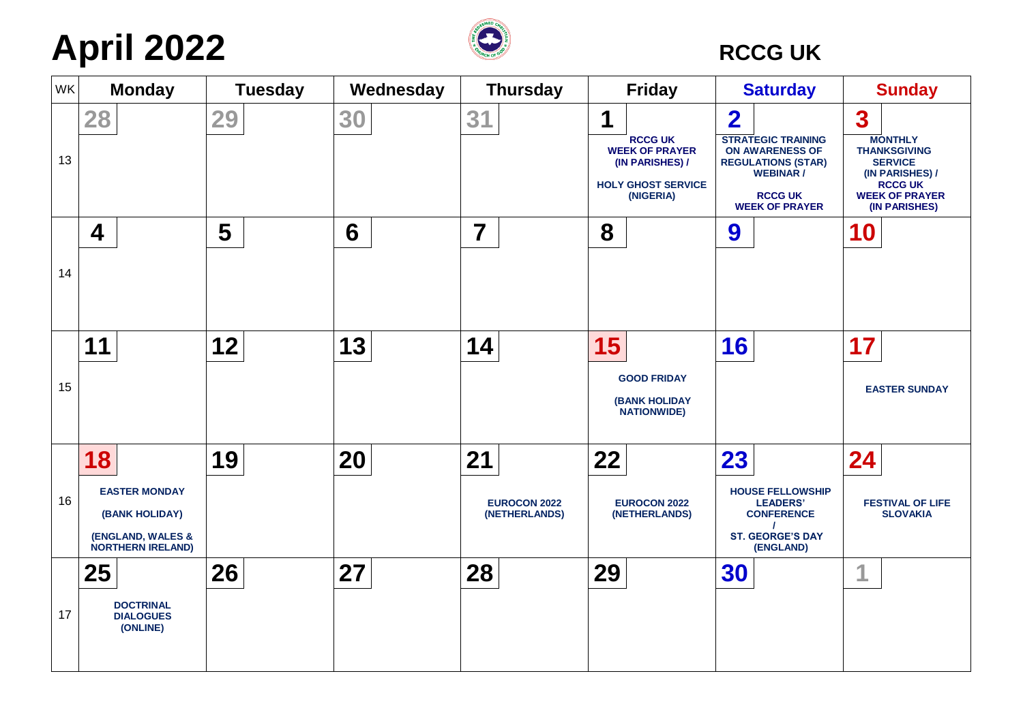## **April 2022** *CCG UK*



| <b>WK</b> | <b>Monday</b>                                                                                 | <b>Tuesday</b> | Wednesday | <b>Thursday</b>                            | <b>Friday</b>                                                                                             | <b>Saturday</b>                                                                                                                                                     | <b>Sunday</b>                                                                                                                                              |
|-----------|-----------------------------------------------------------------------------------------------|----------------|-----------|--------------------------------------------|-----------------------------------------------------------------------------------------------------------|---------------------------------------------------------------------------------------------------------------------------------------------------------------------|------------------------------------------------------------------------------------------------------------------------------------------------------------|
| 13        | 28                                                                                            | 29             | 30        | 31                                         | 1<br><b>RCCG UK</b><br><b>WEEK OF PRAYER</b><br>(IN PARISHES) /<br><b>HOLY GHOST SERVICE</b><br>(NIGERIA) | $\overline{\mathbf{2}}$<br><b>STRATEGIC TRAINING</b><br>ON AWARENESS OF<br><b>REGULATIONS (STAR)</b><br><b>WEBINAR /</b><br><b>RCCG UK</b><br><b>WEEK OF PRAYER</b> | $\boldsymbol{3}$<br><b>MONTHLY</b><br><b>THANKSGIVING</b><br><b>SERVICE</b><br>(IN PARISHES) /<br><b>RCCG UK</b><br><b>WEEK OF PRAYER</b><br>(IN PARISHES) |
| 14        | 4                                                                                             | 5              | 6         | $\overline{7}$                             | 8                                                                                                         | 9                                                                                                                                                                   | 10                                                                                                                                                         |
| 15        | 11                                                                                            | 12             | 13        | 14                                         | 15<br><b>GOOD FRIDAY</b><br><b>(BANK HOLIDAY</b><br><b>NATIONWIDE)</b>                                    | 16                                                                                                                                                                  | 17<br><b>EASTER SUNDAY</b>                                                                                                                                 |
| 16        | 18<br><b>EASTER MONDAY</b><br>(BANK HOLIDAY)<br>(ENGLAND, WALES &<br><b>NORTHERN IRELAND)</b> | 19             | 20        | 21<br><b>EUROCON 2022</b><br>(NETHERLANDS) | 22<br><b>EUROCON 2022</b><br>(NETHERLANDS)                                                                | 23<br><b>HOUSE FELLOWSHIP</b><br><b>LEADERS'</b><br><b>CONFERENCE</b><br><b>ST. GEORGE'S DAY</b><br>(ENGLAND)                                                       | 24<br><b>FESTIVAL OF LIFE</b><br><b>SLOVAKIA</b>                                                                                                           |
| 17        | 25<br><b>DOCTRINAL</b><br><b>DIALOGUES</b><br>(ONLINE)                                        | 26             | 27        | 28                                         | 29                                                                                                        | 30                                                                                                                                                                  |                                                                                                                                                            |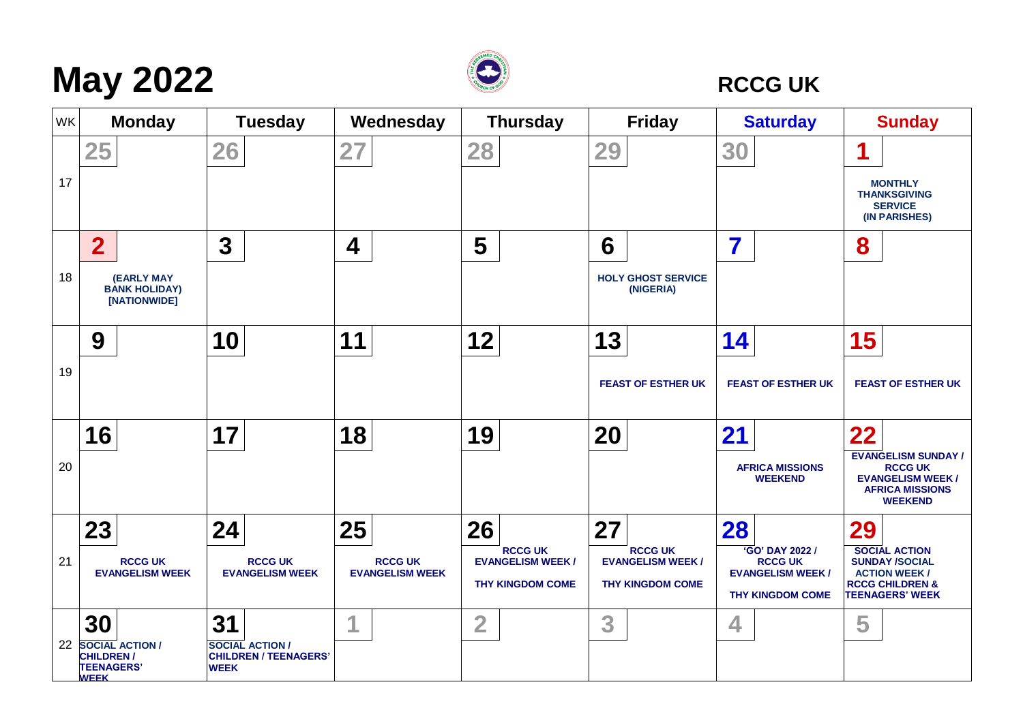# **May** 2022 *C*



| WK | <b>Monday</b>                                                                        | <b>Tuesday</b>                                                              | Wednesday                                      | <b>Thursday</b>                                                             | <b>Friday</b>                                                              | <b>Saturday</b>                                                                                | <b>Sunday</b>                                                                                                                       |
|----|--------------------------------------------------------------------------------------|-----------------------------------------------------------------------------|------------------------------------------------|-----------------------------------------------------------------------------|----------------------------------------------------------------------------|------------------------------------------------------------------------------------------------|-------------------------------------------------------------------------------------------------------------------------------------|
| 17 | 25                                                                                   | 26                                                                          | 27                                             | 28                                                                          | 29                                                                         | 30                                                                                             | <b>MONTHLY</b><br><b>THANKSGIVING</b><br><b>SERVICE</b><br>(IN PARISHES)                                                            |
| 18 | $\overline{2}$<br><b>(EARLY MAY</b><br><b>BANK HOLIDAY)</b><br>[NATIONWIDE]          | $\mathbf 3$                                                                 | 4                                              | 5                                                                           | 6<br><b>HOLY GHOST SERVICE</b><br>(NIGERIA)                                | 7                                                                                              | 8                                                                                                                                   |
| 19 | 9                                                                                    | 10                                                                          | 11                                             | 12                                                                          | 13<br><b>FEAST OF ESTHER UK</b>                                            | 14<br><b>FEAST OF ESTHER UK</b>                                                                | 15<br><b>FEAST OF ESTHER UK</b>                                                                                                     |
| 20 | 16                                                                                   | 17                                                                          | 18                                             | 19                                                                          | 20                                                                         | 21<br><b>AFRICA MISSIONS</b><br><b>WEEKEND</b>                                                 | 22<br><b>EVANGELISM SUNDAY /</b><br><b>RCCG UK</b><br><b>EVANGELISM WEEK /</b><br><b>AFRICA MISSIONS</b><br><b>WEEKEND</b>          |
| 21 | 23<br><b>RCCG UK</b><br><b>EVANGELISM WEEK</b>                                       | 24<br><b>RCCG UK</b><br><b>EVANGELISM WEEK</b>                              | 25<br><b>RCCG UK</b><br><b>EVANGELISM WEEK</b> | 26<br><b>RCCG UK</b><br><b>EVANGELISM WEEK /</b><br><b>THY KINGDOM COME</b> | 27<br><b>RCCG UK</b><br><b>EVANGELISM WEEK/</b><br><b>THY KINGDOM COME</b> | 28<br>'GO' DAY 2022 /<br><b>RCCG UK</b><br><b>EVANGELISM WEEK /</b><br><b>THY KINGDOM COME</b> | 29<br><b>SOCIAL ACTION</b><br><b>SUNDAY /SOCIAL</b><br><b>ACTION WEEK /</b><br><b>RCCG CHILDREN &amp;</b><br><b>TEENAGERS' WEEK</b> |
| 22 | 30<br><b>SOCIAL ACTION /</b><br><b>CHILDREN/</b><br><b>TEENAGERS'</b><br><b>WFFK</b> | 31<br><b>SOCIAL ACTION /</b><br><b>CHILDREN / TEENAGERS'</b><br><b>WEEK</b> | 1                                              | $\overline{2}$                                                              | 3                                                                          | 4                                                                                              | 5                                                                                                                                   |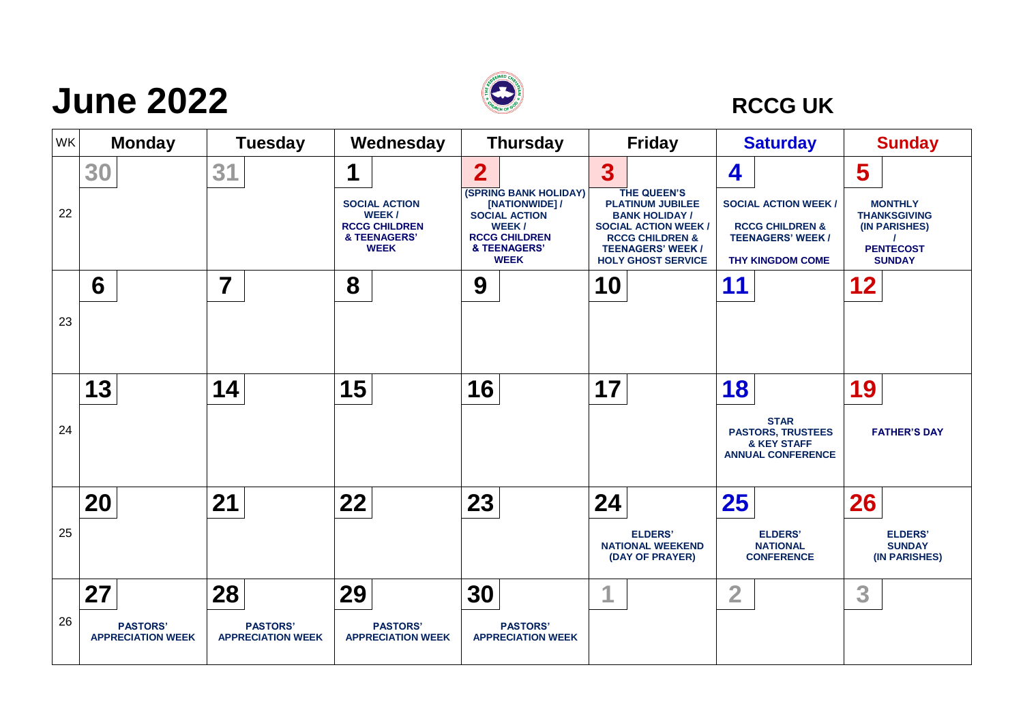### **June 2022** *C*



| WK | <b>Monday</b>                                     | <b>Tuesday</b>                                    | Wednesday                                                                                 | <b>Thursday</b>                                                                                                                                          | <b>Friday</b>                                                                                                                                                                                                    | <b>Saturday</b>                                                                                                       | <b>Sunday</b>                                                                                    |
|----|---------------------------------------------------|---------------------------------------------------|-------------------------------------------------------------------------------------------|----------------------------------------------------------------------------------------------------------------------------------------------------------|------------------------------------------------------------------------------------------------------------------------------------------------------------------------------------------------------------------|-----------------------------------------------------------------------------------------------------------------------|--------------------------------------------------------------------------------------------------|
| 22 | 30                                                | 31                                                | 1<br><b>SOCIAL ACTION</b><br>WEEK/<br><b>RCCG CHILDREN</b><br>& TEENAGERS'<br><b>WEEK</b> | $\overline{2}$<br><b>(SPRING BANK HOLIDAY)</b><br>[NATIONWIDE] /<br><b>SOCIAL ACTION</b><br>WEEK/<br><b>RCCG CHILDREN</b><br>& TEENAGERS'<br><b>WEEK</b> | $\overline{\mathbf{3}}$<br>THE QUEEN'S<br><b>PLATINUM JUBILEE</b><br><b>BANK HOLIDAY /</b><br><b>SOCIAL ACTION WEEK /</b><br><b>RCCG CHILDREN &amp;</b><br><b>TEENAGERS' WEEK /</b><br><b>HOLY GHOST SERVICE</b> | 4<br><b>SOCIAL ACTION WEEK /</b><br><b>RCCG CHILDREN &amp;</b><br><b>TEENAGERS' WEEK /</b><br><b>THY KINGDOM COME</b> | 5<br><b>MONTHLY</b><br><b>THANKSGIVING</b><br>(IN PARISHES)<br><b>PENTECOST</b><br><b>SUNDAY</b> |
| 23 | 6                                                 | 7                                                 | 8                                                                                         | 9                                                                                                                                                        | 10                                                                                                                                                                                                               | 11                                                                                                                    | 12                                                                                               |
| 24 | 13                                                | 14                                                | 15                                                                                        | 16                                                                                                                                                       | 17                                                                                                                                                                                                               | 18<br><b>STAR</b><br><b>PASTORS, TRUSTEES</b><br><b>&amp; KEY STAFF</b><br><b>ANNUAL CONFERENCE</b>                   | 19<br><b>FATHER'S DAY</b>                                                                        |
| 25 | 20                                                | 21                                                | 22                                                                                        | 23                                                                                                                                                       | 24<br><b>ELDERS'</b><br><b>NATIONAL WEEKEND</b><br>(DAY OF PRAYER)                                                                                                                                               | 25<br><b>ELDERS'</b><br><b>NATIONAL</b><br><b>CONFERENCE</b>                                                          | 26<br><b>ELDERS'</b><br><b>SUNDAY</b><br>(IN PARISHES)                                           |
| 26 | 27<br><b>PASTORS'</b><br><b>APPRECIATION WEEK</b> | 28<br><b>PASTORS'</b><br><b>APPRECIATION WEEK</b> | 29<br><b>PASTORS'</b><br><b>APPRECIATION WEEK</b>                                         | 30<br><b>PASTORS'</b><br><b>APPRECIATION WEEK</b>                                                                                                        | и                                                                                                                                                                                                                | $\overline{2}$                                                                                                        | 3                                                                                                |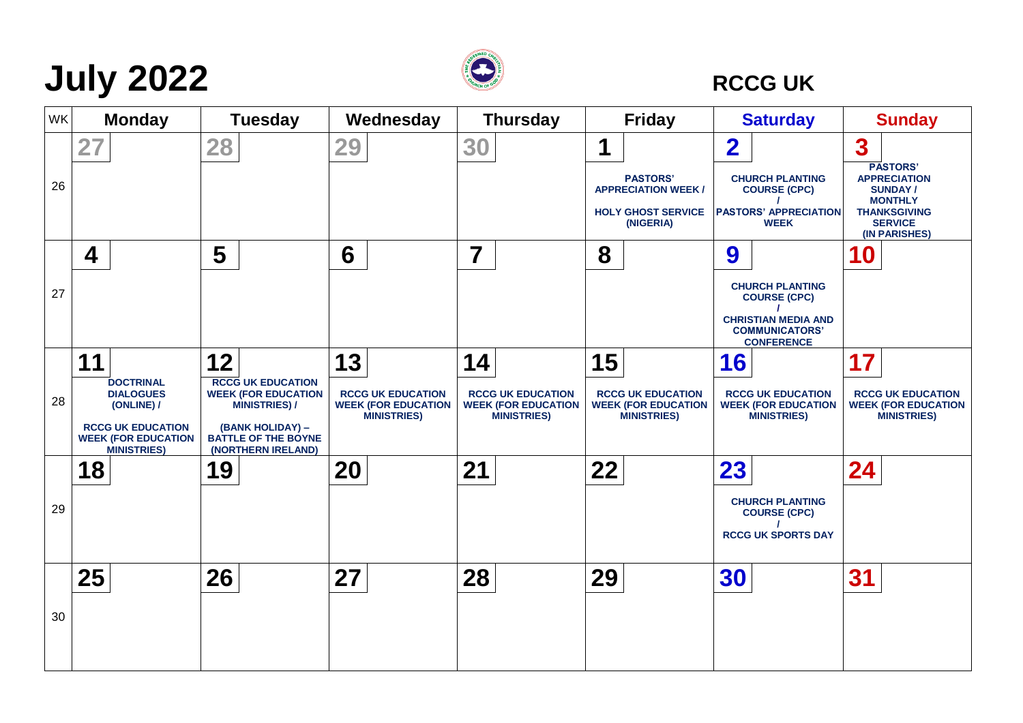# **July 2022 CONS RCCG UK**



| WK | <b>Monday</b>                                                                | <b>Tuesday</b>                                                                | Wednesday                                              | <b>Thursday</b>                                        | <b>Friday</b>                                                                          | <b>Saturday</b>                                                                              | <b>Sunday</b>                                                                                                                        |
|----|------------------------------------------------------------------------------|-------------------------------------------------------------------------------|--------------------------------------------------------|--------------------------------------------------------|----------------------------------------------------------------------------------------|----------------------------------------------------------------------------------------------|--------------------------------------------------------------------------------------------------------------------------------------|
|    | 27                                                                           | 28                                                                            | 29                                                     | 30                                                     | 1                                                                                      | $\overline{\mathbf{2}}$                                                                      | 3                                                                                                                                    |
| 26 |                                                                              |                                                                               |                                                        |                                                        | <b>PASTORS'</b><br><b>APPRECIATION WEEK/</b><br><b>HOLY GHOST SERVICE</b><br>(NIGERIA) | <b>CHURCH PLANTING</b><br><b>COURSE (CPC)</b><br><b>PASTORS' APPRECIATION</b><br><b>WEEK</b> | <b>PASTORS'</b><br><b>APPRECIATION</b><br><b>SUNDAY/</b><br><b>MONTHLY</b><br><b>THANKSGIVING</b><br><b>SERVICE</b><br>(IN PARISHES) |
|    | 4                                                                            | 5                                                                             | 6                                                      | $\overline{\mathbf{7}}$                                | 8                                                                                      | 9                                                                                            | <b>10</b>                                                                                                                            |
| 27 |                                                                              |                                                                               |                                                        |                                                        |                                                                                        | <b>CHURCH PLANTING</b><br><b>COURSE (CPC)</b>                                                |                                                                                                                                      |
|    |                                                                              |                                                                               |                                                        |                                                        |                                                                                        | <b>CHRISTIAN MEDIA AND</b><br><b>COMMUNICATORS'</b><br><b>CONFERENCE</b>                     |                                                                                                                                      |
|    | 11                                                                           | 12                                                                            | 13                                                     | 14                                                     | 15                                                                                     | 16                                                                                           | 17                                                                                                                                   |
| 28 | <b>DOCTRINAL</b><br><b>DIALOGUES</b><br>(ONLINE) /                           | <b>RCCG UK EDUCATION</b><br><b>WEEK (FOR EDUCATION</b><br><b>MINISTRIES)/</b> | <b>RCCG UK EDUCATION</b><br><b>WEEK (FOR EDUCATION</b> | <b>RCCG UK EDUCATION</b><br><b>WEEK (FOR EDUCATION</b> | <b>RCCG UK EDUCATION</b><br><b>WEEK (FOR EDUCATION</b>                                 | <b>RCCG UK EDUCATION</b><br><b>WEEK (FOR EDUCATION</b>                                       | <b>RCCG UK EDUCATION</b><br><b>WEEK (FOR EDUCATION</b>                                                                               |
|    | <b>RCCG UK EDUCATION</b><br><b>WEEK (FOR EDUCATION</b><br><b>MINISTRIES)</b> | (BANK HOLIDAY) -<br><b>BATTLE OF THE BOYNE</b><br>(NORTHERN IRELAND)          | <b>MINISTRIES)</b>                                     | <b>MINISTRIES)</b>                                     | <b>MINISTRIES</b>                                                                      | <b>MINISTRIES)</b>                                                                           | <b>MINISTRIES)</b>                                                                                                                   |
|    | 18                                                                           | 19                                                                            | 20                                                     | 21                                                     | 22                                                                                     | 23                                                                                           | 24                                                                                                                                   |
| 29 |                                                                              |                                                                               |                                                        |                                                        |                                                                                        | <b>CHURCH PLANTING</b><br><b>COURSE (CPC)</b>                                                |                                                                                                                                      |
|    |                                                                              |                                                                               |                                                        |                                                        |                                                                                        | <b>RCCG UK SPORTS DAY</b>                                                                    |                                                                                                                                      |
|    | 25                                                                           | 26                                                                            | 27                                                     | 28                                                     | 29                                                                                     | 30                                                                                           | 31                                                                                                                                   |
| 30 |                                                                              |                                                                               |                                                        |                                                        |                                                                                        |                                                                                              |                                                                                                                                      |
|    |                                                                              |                                                                               |                                                        |                                                        |                                                                                        |                                                                                              |                                                                                                                                      |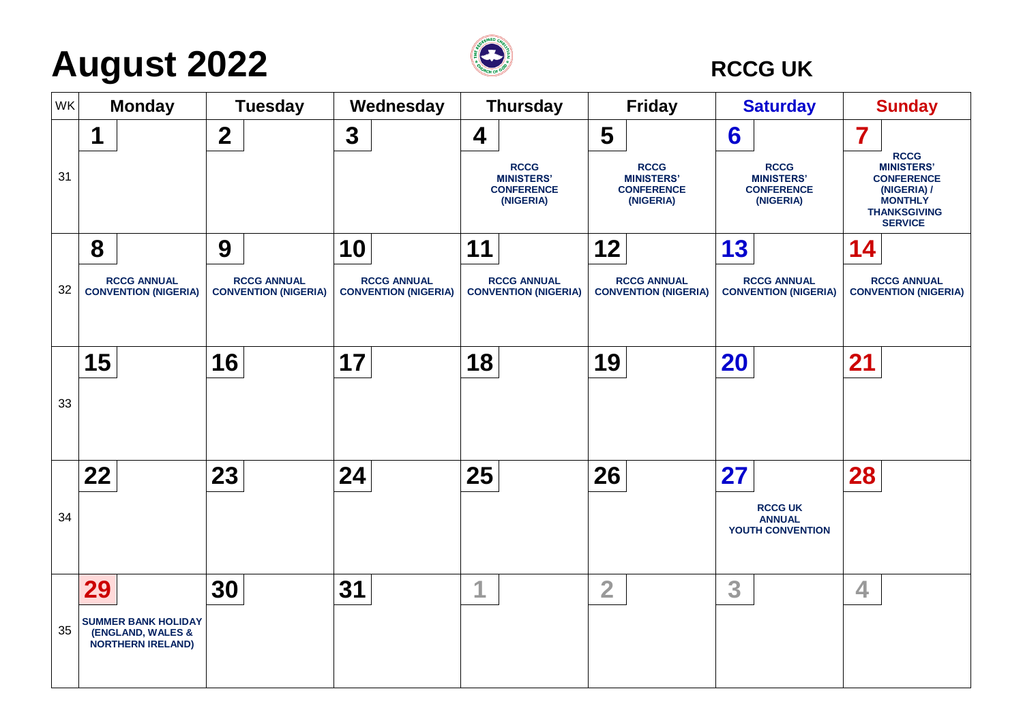# **August 2022 CONSIDENT RECGUK**



| WK |    | <b>Monday</b>                                                               |                         | <b>Tuesday</b>                                    |    | Wednesday                                         |                  | <b>Thursday</b>                                                    |                | <b>Friday</b>                                                      |           | <b>Saturday</b>                                                    |                | <b>Sunday</b>                                                                                                                   |
|----|----|-----------------------------------------------------------------------------|-------------------------|---------------------------------------------------|----|---------------------------------------------------|------------------|--------------------------------------------------------------------|----------------|--------------------------------------------------------------------|-----------|--------------------------------------------------------------------|----------------|---------------------------------------------------------------------------------------------------------------------------------|
| 31 | 1  |                                                                             | $\overline{\mathbf{2}}$ |                                                   | 3  |                                                   | $\boldsymbol{4}$ | <b>RCCG</b><br><b>MINISTERS'</b><br><b>CONFERENCE</b><br>(NIGERIA) | 5              | <b>RCCG</b><br><b>MINISTERS'</b><br><b>CONFERENCE</b><br>(NIGERIA) | 6         | <b>RCCG</b><br><b>MINISTERS'</b><br><b>CONFERENCE</b><br>(NIGERIA) | 7              | <b>RCCG</b><br><b>MINISTERS'</b><br><b>CONFERENCE</b><br>(NIGERIA) /<br><b>MONTHLY</b><br><b>THANKSGIVING</b><br><b>SERVICE</b> |
| 32 | 8  | <b>RCCG ANNUAL</b><br><b>CONVENTION (NIGERIA)</b>                           | 9                       | <b>RCCG ANNUAL</b><br><b>CONVENTION (NIGERIA)</b> | 10 | <b>RCCG ANNUAL</b><br><b>CONVENTION (NIGERIA)</b> | 11               | <b>RCCG ANNUAL</b><br><b>CONVENTION (NIGERIA)</b>                  | 12             | <b>RCCG ANNUAL</b><br><b>CONVENTION (NIGERIA)</b>                  | 13        | <b>RCCG ANNUAL</b><br><b>CONVENTION (NIGERIA)</b>                  | 14             | <b>RCCG ANNUAL</b><br><b>CONVENTION (NIGERIA)</b>                                                                               |
| 33 | 15 |                                                                             | 16                      |                                                   | 17 |                                                   | 18               |                                                                    | 19             |                                                                    | <b>20</b> |                                                                    | 21             |                                                                                                                                 |
| 34 | 22 |                                                                             | 23                      |                                                   | 24 |                                                   | 25               |                                                                    | 26             |                                                                    | 27        | <b>RCCG UK</b><br><b>ANNUAL</b><br>YOUTH CONVENTION                | 28             |                                                                                                                                 |
| 35 | 29 | <b>SUMMER BANK HOLIDAY</b><br>(ENGLAND, WALES &<br><b>NORTHERN IRELAND)</b> | 30                      |                                                   | 31 |                                                   | 1                |                                                                    | $\overline{2}$ |                                                                    | 3         |                                                                    | $\overline{4}$ |                                                                                                                                 |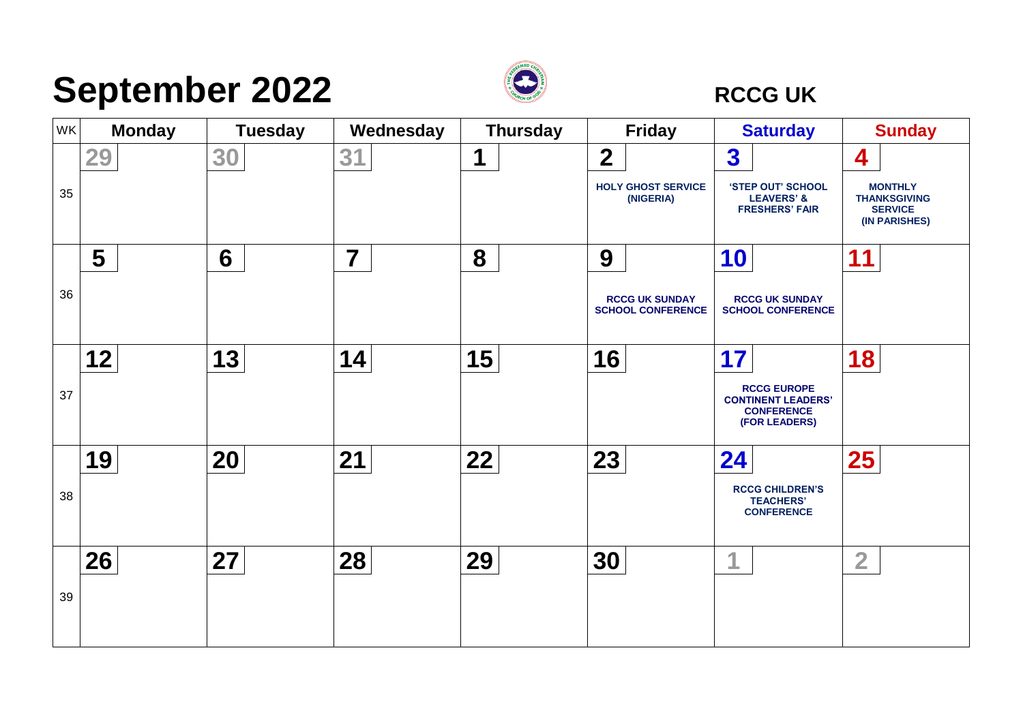## **September 2022 CONSERVICE**



| <b>WK</b> | <b>Monday</b> | <b>Tuesday</b> | Wednesday               | <b>Thursday</b> | <b>Friday</b>                                     | <b>Saturday</b>                                                                       | <b>Sunday</b>                                                            |
|-----------|---------------|----------------|-------------------------|-----------------|---------------------------------------------------|---------------------------------------------------------------------------------------|--------------------------------------------------------------------------|
|           | 29            | 30             | 31                      | 1               | $\overline{2}$                                    | 3                                                                                     | 4                                                                        |
| 35        |               |                |                         |                 | <b>HOLY GHOST SERVICE</b><br>(NIGERIA)            | 'STEP OUT' SCHOOL<br><b>LEAVERS' &amp;</b><br><b>FRESHERS' FAIR</b>                   | <b>MONTHLY</b><br><b>THANKSGIVING</b><br><b>SERVICE</b><br>(IN PARISHES) |
|           | 5             | 6              | $\overline{\mathbf{7}}$ | 8               | 9                                                 | 10                                                                                    | 11                                                                       |
| 36        |               |                |                         |                 | <b>RCCG UK SUNDAY</b><br><b>SCHOOL CONFERENCE</b> | <b>RCCG UK SUNDAY</b><br><b>SCHOOL CONFERENCE</b>                                     |                                                                          |
|           | 12            | 13             | 14                      | 15              | 16                                                | 17                                                                                    | 18                                                                       |
| 37        |               |                |                         |                 |                                                   | <b>RCCG EUROPE</b><br><b>CONTINENT LEADERS'</b><br><b>CONFERENCE</b><br>(FOR LEADERS) |                                                                          |
|           | 19            | 20             | 21                      | 22              | 23                                                | 24                                                                                    | 25                                                                       |
| 38        |               |                |                         |                 |                                                   | <b>RCCG CHILDREN'S</b><br><b>TEACHERS'</b><br><b>CONFERENCE</b>                       |                                                                          |
|           | 26            | 27             | 28                      | 29              | 30                                                | 1                                                                                     | $\overline{2}$                                                           |
| 39        |               |                |                         |                 |                                                   |                                                                                       |                                                                          |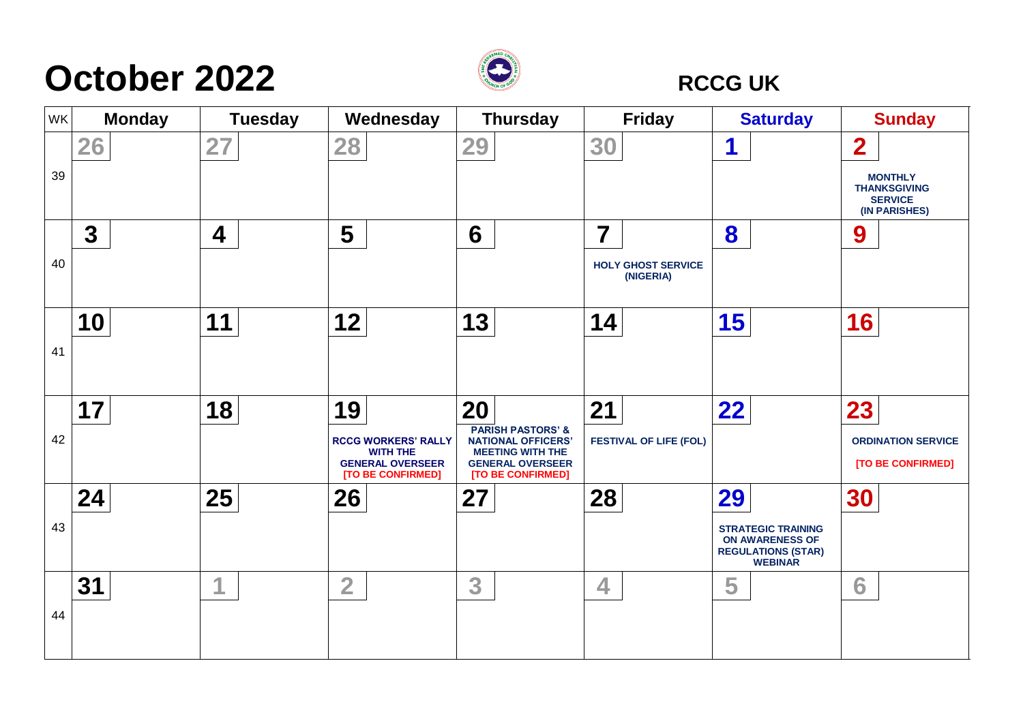## **October 2022 RCCG UK**



| WK | <b>Monday</b> | <b>Tuesday</b> | Wednesday                                                                                           | <b>Thursday</b>                                                                                                                            | <b>Friday</b>                               | <b>Saturday</b>                                                                                          | <b>Sunday</b>                                                                                       |
|----|---------------|----------------|-----------------------------------------------------------------------------------------------------|--------------------------------------------------------------------------------------------------------------------------------------------|---------------------------------------------|----------------------------------------------------------------------------------------------------------|-----------------------------------------------------------------------------------------------------|
| 39 | 26            | 27             | 28                                                                                                  | 29                                                                                                                                         | 30                                          | 1                                                                                                        | $\overline{\mathbf{2}}$<br><b>MONTHLY</b><br><b>THANKSGIVING</b><br><b>SERVICE</b><br>(IN PARISHES) |
| 40 | $\mathbf 3$   | 4              | 5                                                                                                   | 6                                                                                                                                          | 7<br><b>HOLY GHOST SERVICE</b><br>(NIGERIA) | 8                                                                                                        | 9                                                                                                   |
| 41 | 10            | 11             | 12                                                                                                  | 13                                                                                                                                         | 14                                          | 15                                                                                                       | 16                                                                                                  |
| 42 | 17            | 18             | 19<br><b>RCCG WORKERS' RALLY</b><br><b>WITH THE</b><br><b>GENERAL OVERSEER</b><br>[TO BE CONFIRMED] | 20<br><b>PARISH PASTORS' &amp;</b><br><b>NATIONAL OFFICERS'</b><br><b>MEETING WITH THE</b><br><b>GENERAL OVERSEER</b><br>[TO BE CONFIRMED] | 21<br><b>FESTIVAL OF LIFE (FOL)</b>         | 22                                                                                                       | 23<br><b>ORDINATION SERVICE</b><br>[TO BE CONFIRMED]                                                |
| 43 | 24            | 25             | 26                                                                                                  | 27                                                                                                                                         | 28                                          | 29<br><b>STRATEGIC TRAINING</b><br><b>ON AWARENESS OF</b><br><b>REGULATIONS (STAR)</b><br><b>WEBINAR</b> | 30                                                                                                  |
| 44 | 31            | 1              | $\overline{2}$                                                                                      | 3                                                                                                                                          | 4                                           | 5                                                                                                        | 6                                                                                                   |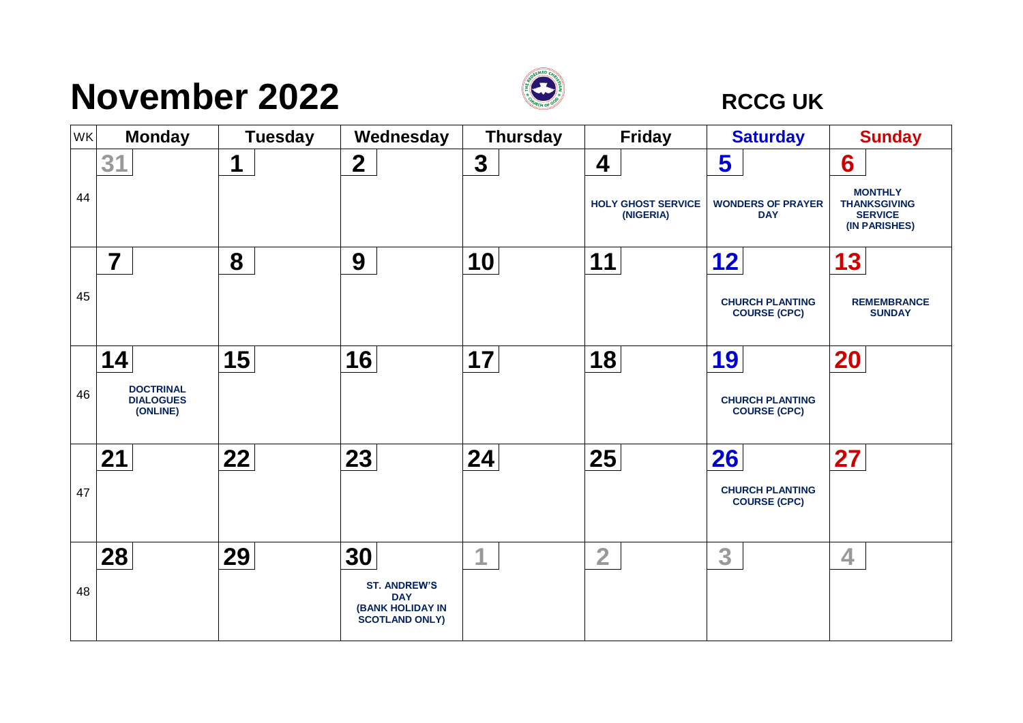## **November 2022** *RCCG UK*



| WK | <b>Monday</b>                                    | <b>Tuesday</b> | Wednesday                                                                             | <b>Thursday</b> | <b>Friday</b>                          | <b>Saturday</b>                               | <b>Sunday</b>                                                            |
|----|--------------------------------------------------|----------------|---------------------------------------------------------------------------------------|-----------------|----------------------------------------|-----------------------------------------------|--------------------------------------------------------------------------|
|    | 31                                               | 1              | $\boldsymbol{2}$                                                                      | $\mathbf{3}$    | 4                                      | 5                                             | 6                                                                        |
| 44 |                                                  |                |                                                                                       |                 | <b>HOLY GHOST SERVICE</b><br>(NIGERIA) | <b>WONDERS OF PRAYER</b><br><b>DAY</b>        | <b>MONTHLY</b><br><b>THANKSGIVING</b><br><b>SERVICE</b><br>(IN PARISHES) |
|    | $\overline{\mathbf{7}}$                          | 8              | 9                                                                                     | 10              | 11                                     | 12                                            | 13                                                                       |
| 45 |                                                  |                |                                                                                       |                 |                                        | <b>CHURCH PLANTING</b><br><b>COURSE (CPC)</b> | <b>REMEMBRANCE</b><br><b>SUNDAY</b>                                      |
|    | 14                                               | 15             | 16                                                                                    | 17              | 18                                     | 19                                            | <b>20</b>                                                                |
| 46 | <b>DOCTRINAL</b><br><b>DIALOGUES</b><br>(ONLINE) |                |                                                                                       |                 |                                        | <b>CHURCH PLANTING</b><br><b>COURSE (CPC)</b> |                                                                          |
|    | 21                                               | 22             | 23                                                                                    | 24              | 25                                     | 26                                            | 27                                                                       |
| 47 |                                                  |                |                                                                                       |                 |                                        | <b>CHURCH PLANTING</b><br><b>COURSE (CPC)</b> |                                                                          |
|    | 28                                               | 29             | 30                                                                                    | 1               | $\overline{2}$                         | 3                                             | 4                                                                        |
| 48 |                                                  |                | <b>ST. ANDREW'S</b><br><b>DAY</b><br><b>(BANK HOLIDAY IN</b><br><b>SCOTLAND ONLY)</b> |                 |                                        |                                               |                                                                          |